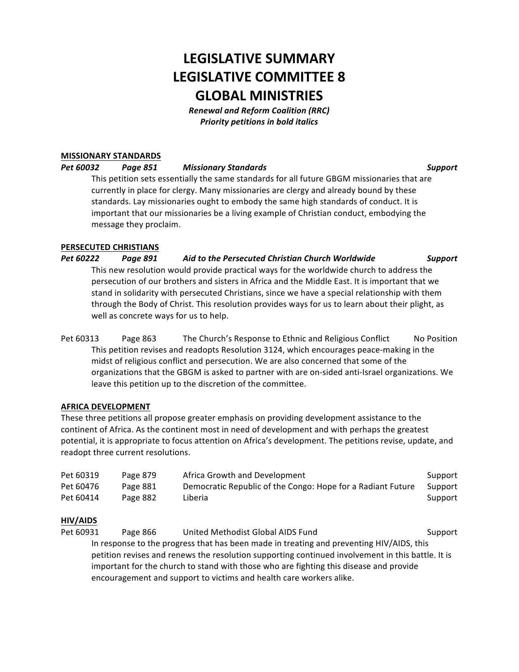# **LEGISLATIVE SUMMARY LEGISLATIVE COMMITTEE 8 GLOBAL MINISTRIES**

*Renewal and Reform Coalition (RRC)* **Priority petitions in bold italics** 

## **MISSIONARY STANDARDS**

*Pet 60032 Page 851 Missionary Standards Support*

This petition sets essentially the same standards for all future GBGM missionaries that are currently in place for clergy. Many missionaries are clergy and already bound by these standards. Lay missionaries ought to embody the same high standards of conduct. It is important that our missionaries be a living example of Christian conduct, embodying the message they proclaim.

#### **PERSECUTED CHRISTIANS**

*Pet 60222 Page 891 Aid to the Persecuted Christian Church Worldwide Support* This new resolution would provide practical ways for the worldwide church to address the persecution of our brothers and sisters in Africa and the Middle East. It is important that we stand in solidarity with persecuted Christians, since we have a special relationship with them through the Body of Christ. This resolution provides ways for us to learn about their plight, as well as concrete ways for us to help.

Pet 60313 Page 863 The Church's Response to Ethnic and Religious Conflict No Position This petition revises and readopts Resolution 3124, which encourages peace-making in the midst of religious conflict and persecution. We are also concerned that some of the organizations that the GBGM is asked to partner with are on-sided anti-Israel organizations. We leave this petition up to the discretion of the committee.

#### **AFRICA DEVELOPMENT**

These three petitions all propose greater emphasis on providing development assistance to the continent of Africa. As the continent most in need of development and with perhaps the greatest potential, it is appropriate to focus attention on Africa's development. The petitions revise, update, and readopt three current resolutions.

| Pet 60319 | Page 879 | Africa Growth and Development                               | Support |
|-----------|----------|-------------------------------------------------------------|---------|
| Pet 60476 | Page 881 | Democratic Republic of the Congo: Hope for a Radiant Future | Support |
| Pet 60414 | Page 882 | Liberia                                                     | Support |

## **HIV/AIDS**

Pet 60931 Page 866 United Methodist Global AIDS Fund Support In response to the progress that has been made in treating and preventing HIV/AIDS, this petition revises and renews the resolution supporting continued involvement in this battle. It is important for the church to stand with those who are fighting this disease and provide encouragement and support to victims and health care workers alike.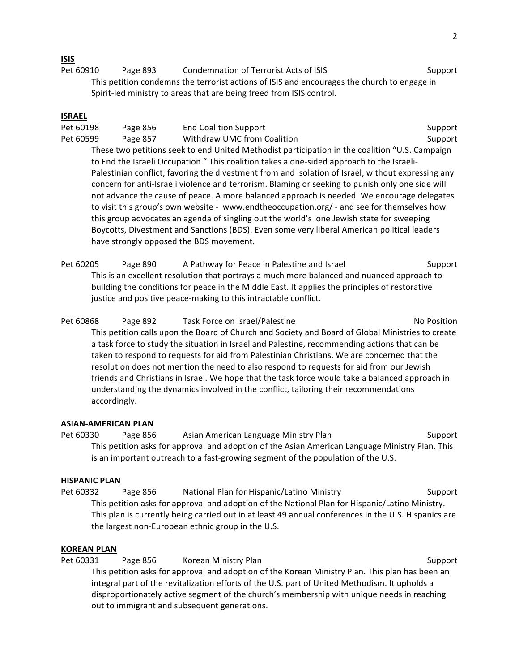### **ISIS**

Pet 60910 Page 893 Condemnation of Terrorist Acts of ISIS Support This petition condemns the terrorist actions of ISIS and encourages the church to engage in Spirit-led ministry to areas that are being freed from ISIS control.

### **ISRAEL**

Pet 60198 Page 856 End Coalition Support Support Support Support Support Support Support Pet 60599 Page 857 Withdraw UMC from Coalition Support Support These two petitions seek to end United Methodist participation in the coalition "U.S. Campaign to End the Israeli Occupation." This coalition takes a one-sided approach to the Israeli-Palestinian conflict, favoring the divestment from and isolation of Israel, without expressing any concern for anti-Israeli violence and terrorism. Blaming or seeking to punish only one side will not advance the cause of peace. A more balanced approach is needed. We encourage delegates to visit this group's own website - www.endtheoccupation.org/ - and see for themselves how this group advocates an agenda of singling out the world's lone Jewish state for sweeping Boycotts, Divestment and Sanctions (BDS). Even some very liberal American political leaders have strongly opposed the BDS movement.

Pet 60205 Page 890 A Pathway for Peace in Palestine and Israel Support This is an excellent resolution that portrays a much more balanced and nuanced approach to building the conditions for peace in the Middle East. It applies the principles of restorative justice and positive peace-making to this intractable conflict.

Pet 60868 Page 892 Task Force on Israel/Palestine Note 200868 No Position This petition calls upon the Board of Church and Society and Board of Global Ministries to create a task force to study the situation in Israel and Palestine, recommending actions that can be taken to respond to requests for aid from Palestinian Christians. We are concerned that the resolution does not mention the need to also respond to requests for aid from our Jewish friends and Christians in Israel. We hope that the task force would take a balanced approach in understanding the dynamics involved in the conflict, tailoring their recommendations accordingly.

#### **ASIAN-AMERICAN PLAN**

Pet 60330 Page 856 Asian American Language Ministry Plan Support This petition asks for approval and adoption of the Asian American Language Ministry Plan. This is an important outreach to a fast-growing segment of the population of the U.S.

#### **HISPANIC PLAN**

Pet 60332 Page 856 National Plan for Hispanic/Latino Ministry Support This petition asks for approval and adoption of the National Plan for Hispanic/Latino Ministry. This plan is currently being carried out in at least 49 annual conferences in the U.S. Hispanics are the largest non-European ethnic group in the U.S.

#### **KOREAN PLAN**

Pet 60331 Page 856 Korean Ministry Plan Support Support This petition asks for approval and adoption of the Korean Ministry Plan. This plan has been an integral part of the revitalization efforts of the U.S. part of United Methodism. It upholds a disproportionately active segment of the church's membership with unique needs in reaching out to immigrant and subsequent generations.